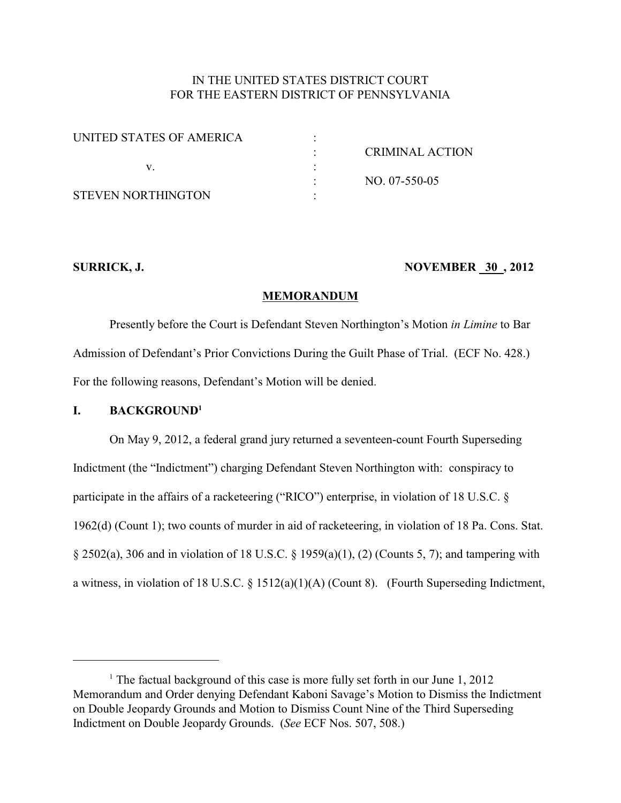# IN THE UNITED STATES DISTRICT COURT FOR THE EASTERN DISTRICT OF PENNSYLVANIA

| UNITED STATES OF AMERICA |                 |
|--------------------------|-----------------|
|                          | CRIMINAL ACTION |
|                          |                 |
|                          | NO. 07-550-05   |
| STEVEN NORTHINGTON       |                 |

# **SURRICK, J. NOVEMBER 30, 2012**

#### **MEMORANDUM**

Presently before the Court is Defendant Steven Northington's Motion *in Limine* to Bar Admission of Defendant's Prior Convictions During the Guilt Phase of Trial. (ECF No. 428.) For the following reasons, Defendant's Motion will be denied.

#### **I. BACKGROUND<sup>1</sup>**

On May 9, 2012, a federal grand jury returned a seventeen-count Fourth Superseding Indictment (the "Indictment") charging Defendant Steven Northington with: conspiracy to participate in the affairs of a racketeering ("RICO") enterprise, in violation of 18 U.S.C. § 1962(d) (Count 1); two counts of murder in aid of racketeering, in violation of 18 Pa. Cons. Stat. § 2502(a), 306 and in violation of 18 U.S.C. § 1959(a)(1), (2) (Counts 5, 7); and tampering with a witness, in violation of 18 U.S.C. § 1512(a)(1)(A) (Count 8). (Fourth Superseding Indictment,

<sup>&</sup>lt;sup>1</sup> The factual background of this case is more fully set forth in our June  $1, 2012$ Memorandum and Order denying Defendant Kaboni Savage's Motion to Dismiss the Indictment on Double Jeopardy Grounds and Motion to Dismiss Count Nine of the Third Superseding Indictment on Double Jeopardy Grounds. (*See* ECF Nos. 507, 508.)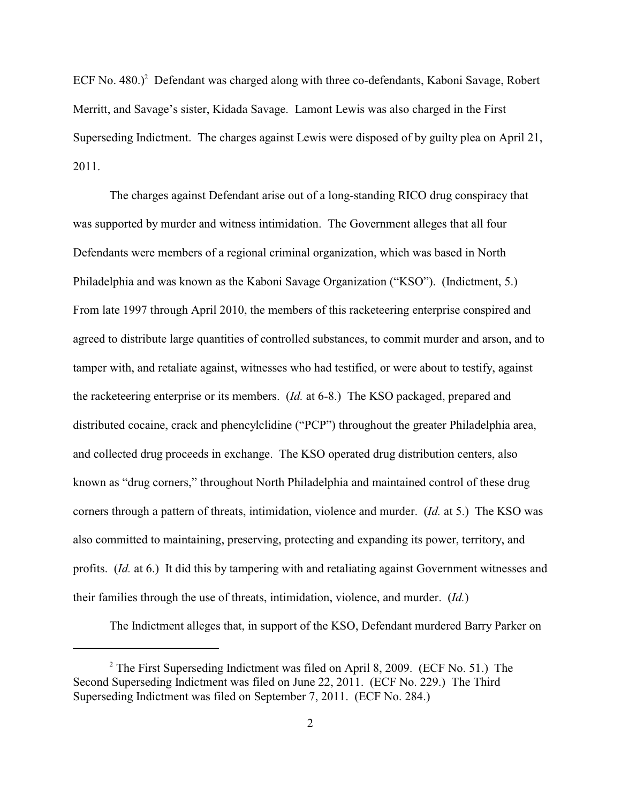ECF No.  $480.$ )<sup>2</sup> Defendant was charged along with three co-defendants, Kaboni Savage, Robert Merritt, and Savage's sister, Kidada Savage. Lamont Lewis was also charged in the First Superseding Indictment. The charges against Lewis were disposed of by guilty plea on April 21, 2011.

The charges against Defendant arise out of a long-standing RICO drug conspiracy that was supported by murder and witness intimidation. The Government alleges that all four Defendants were members of a regional criminal organization, which was based in North Philadelphia and was known as the Kaboni Savage Organization ("KSO"). (Indictment, 5.) From late 1997 through April 2010, the members of this racketeering enterprise conspired and agreed to distribute large quantities of controlled substances, to commit murder and arson, and to tamper with, and retaliate against, witnesses who had testified, or were about to testify, against the racketeering enterprise or its members. (*Id.* at 6-8.) The KSO packaged, prepared and distributed cocaine, crack and phencylclidine ("PCP") throughout the greater Philadelphia area, and collected drug proceeds in exchange. The KSO operated drug distribution centers, also known as "drug corners," throughout North Philadelphia and maintained control of these drug corners through a pattern of threats, intimidation, violence and murder. (*Id.* at 5.) The KSO was also committed to maintaining, preserving, protecting and expanding its power, territory, and profits. (*Id.* at 6.) It did this by tampering with and retaliating against Government witnesses and their families through the use of threats, intimidation, violence, and murder. (*Id.*)

The Indictment alleges that, in support of the KSO, Defendant murdered Barry Parker on

 $2$  The First Superseding Indictment was filed on April 8, 2009. (ECF No. 51.) The Second Superseding Indictment was filed on June 22, 2011. (ECF No. 229.) The Third Superseding Indictment was filed on September 7, 2011. (ECF No. 284.)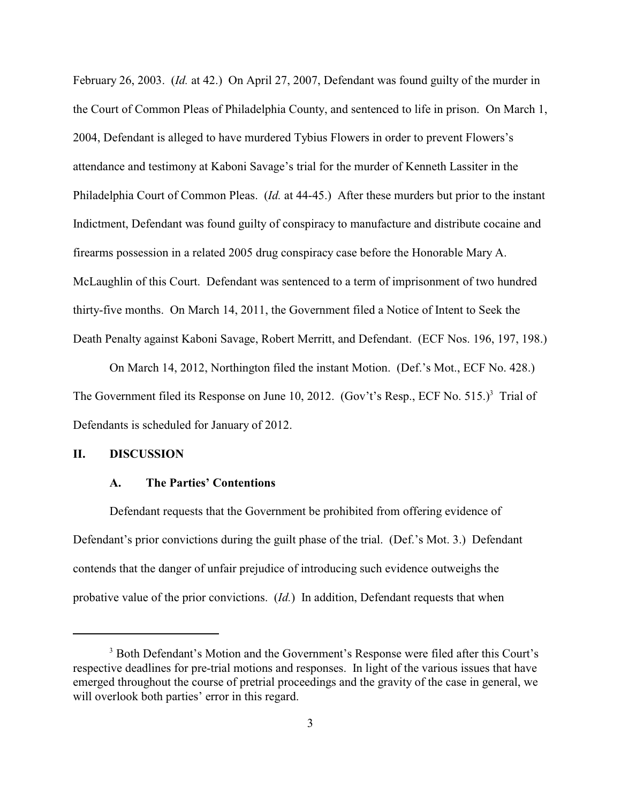February 26, 2003. (*Id.* at 42.) On April 27, 2007, Defendant was found guilty of the murder in the Court of Common Pleas of Philadelphia County, and sentenced to life in prison. On March 1, 2004, Defendant is alleged to have murdered Tybius Flowers in order to prevent Flowers's attendance and testimony at Kaboni Savage's trial for the murder of Kenneth Lassiter in the Philadelphia Court of Common Pleas. (*Id.* at 44-45.) After these murders but prior to the instant Indictment, Defendant was found guilty of conspiracy to manufacture and distribute cocaine and firearms possession in a related 2005 drug conspiracy case before the Honorable Mary A. McLaughlin of this Court. Defendant was sentenced to a term of imprisonment of two hundred thirty-five months. On March 14, 2011, the Government filed a Notice of Intent to Seek the Death Penalty against Kaboni Savage, Robert Merritt, and Defendant. (ECF Nos. 196, 197, 198.)

On March 14, 2012, Northington filed the instant Motion. (Def.'s Mot., ECF No. 428.) The Government filed its Response on June 10, 2012. (Gov't's Resp., ECF No.  $515$ .)<sup>3</sup> Trial of Defendants is scheduled for January of 2012.

## **II. DISCUSSION**

#### **A. The Parties' Contentions**

Defendant requests that the Government be prohibited from offering evidence of Defendant's prior convictions during the guilt phase of the trial. (Def.'s Mot. 3.) Defendant contends that the danger of unfair prejudice of introducing such evidence outweighs the probative value of the prior convictions. (*Id.*) In addition, Defendant requests that when

<sup>&</sup>lt;sup>3</sup> Both Defendant's Motion and the Government's Response were filed after this Court's respective deadlines for pre-trial motions and responses. In light of the various issues that have emerged throughout the course of pretrial proceedings and the gravity of the case in general, we will overlook both parties' error in this regard.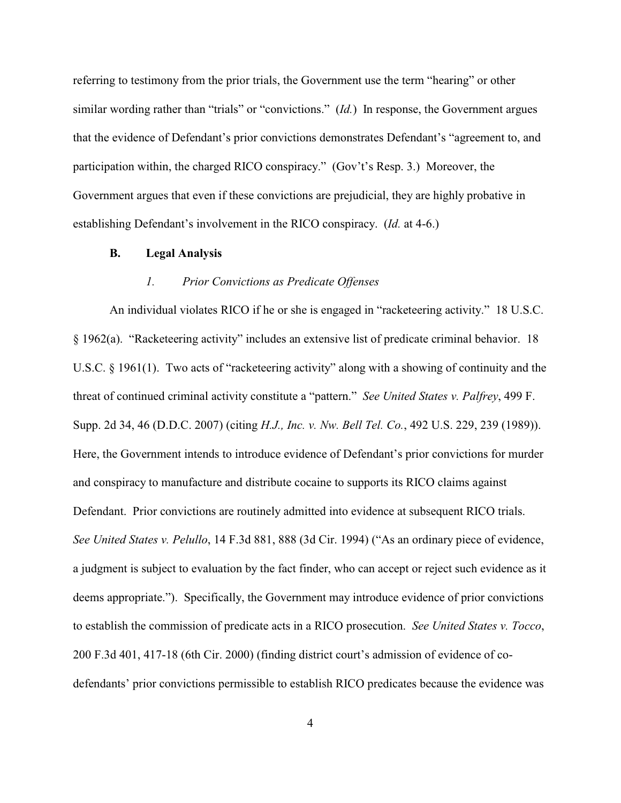referring to testimony from the prior trials, the Government use the term "hearing" or other similar wording rather than "trials" or "convictions." (*Id.*) In response, the Government argues that the evidence of Defendant's prior convictions demonstrates Defendant's "agreement to, and participation within, the charged RICO conspiracy." (Gov't's Resp. 3.) Moreover, the Government argues that even if these convictions are prejudicial, they are highly probative in establishing Defendant's involvement in the RICO conspiracy. (*Id.* at 4-6.)

#### **B. Legal Analysis**

#### *1. Prior Convictions as Predicate Offenses*

An individual violates RICO if he or she is engaged in "racketeering activity." 18 U.S.C. § 1962(a). "Racketeering activity" includes an extensive list of predicate criminal behavior. 18 U.S.C. § 1961(1). Two acts of "racketeering activity" along with a showing of continuity and the threat of continued criminal activity constitute a "pattern." *See United States v. Palfrey*, 499 F. Supp. 2d 34, 46 (D.D.C. 2007) (citing *H.J., Inc. v. Nw. Bell Tel. Co.*, 492 U.S. 229, 239 (1989)). Here, the Government intends to introduce evidence of Defendant's prior convictions for murder and conspiracy to manufacture and distribute cocaine to supports its RICO claims against Defendant. Prior convictions are routinely admitted into evidence at subsequent RICO trials. *See United States v. Pelullo*, 14 F.3d 881, 888 (3d Cir. 1994) ("As an ordinary piece of evidence, a judgment is subject to evaluation by the fact finder, who can accept or reject such evidence as it deems appropriate."). Specifically, the Government may introduce evidence of prior convictions to establish the commission of predicate acts in a RICO prosecution. *See United States v. Tocco*, 200 F.3d 401, 417-18 (6th Cir. 2000) (finding district court's admission of evidence of codefendants' prior convictions permissible to establish RICO predicates because the evidence was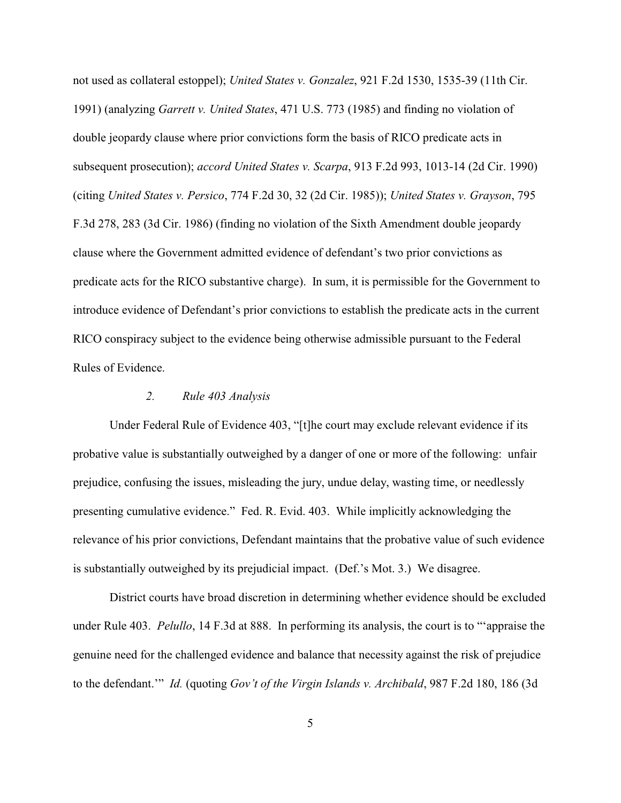not used as collateral estoppel); *United States v. Gonzalez*, 921 F.2d 1530, 1535-39 (11th Cir. 1991) (analyzing *Garrett v. United States*, 471 U.S. 773 (1985) and finding no violation of double jeopardy clause where prior convictions form the basis of RICO predicate acts in subsequent prosecution); *accord United States v. Scarpa*, 913 F.2d 993, 1013-14 (2d Cir. 1990) (citing *United States v. Persico*, 774 F.2d 30, 32 (2d Cir. 1985)); *United States v. Grayson*, 795 F.3d 278, 283 (3d Cir. 1986) (finding no violation of the Sixth Amendment double jeopardy clause where the Government admitted evidence of defendant's two prior convictions as predicate acts for the RICO substantive charge). In sum, it is permissible for the Government to introduce evidence of Defendant's prior convictions to establish the predicate acts in the current RICO conspiracy subject to the evidence being otherwise admissible pursuant to the Federal Rules of Evidence.

### *2. Rule 403 Analysis*

Under Federal Rule of Evidence 403, "[t]he court may exclude relevant evidence if its probative value is substantially outweighed by a danger of one or more of the following: unfair prejudice, confusing the issues, misleading the jury, undue delay, wasting time, or needlessly presenting cumulative evidence." Fed. R. Evid. 403. While implicitly acknowledging the relevance of his prior convictions, Defendant maintains that the probative value of such evidence is substantially outweighed by its prejudicial impact. (Def.'s Mot. 3.) We disagree.

District courts have broad discretion in determining whether evidence should be excluded under Rule 403. *Pelullo*, 14 F.3d at 888. In performing its analysis, the court is to "'appraise the genuine need for the challenged evidence and balance that necessity against the risk of prejudice to the defendant.'" *Id.* (quoting *Gov't of the Virgin Islands v. Archibald*, 987 F.2d 180, 186 (3d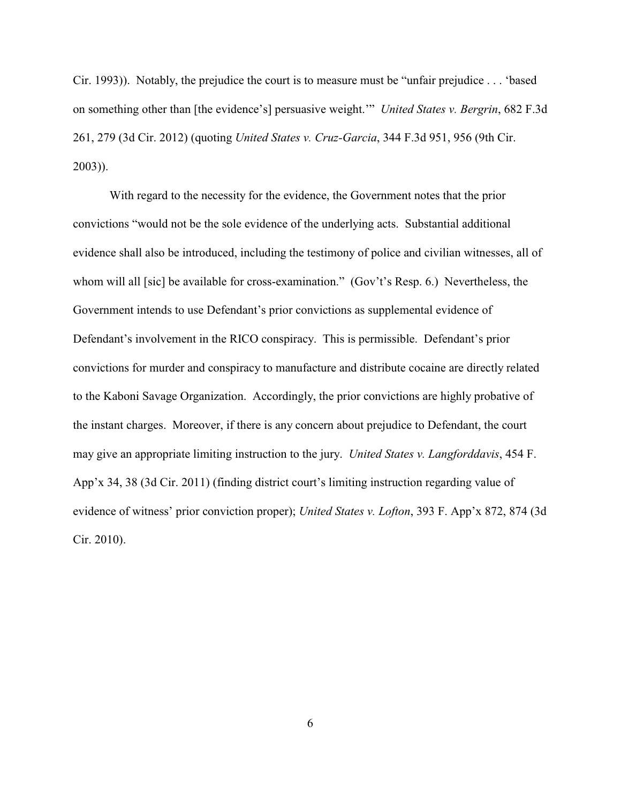Cir. 1993)). Notably, the prejudice the court is to measure must be "unfair prejudice . . . 'based on something other than [the evidence's] persuasive weight.'" *United States v. Bergrin*, 682 F.3d 261, 279 (3d Cir. 2012) (quoting *United States v. Cruz-Garcia*, 344 F.3d 951, 956 (9th Cir. 2003)).

With regard to the necessity for the evidence, the Government notes that the prior convictions "would not be the sole evidence of the underlying acts. Substantial additional evidence shall also be introduced, including the testimony of police and civilian witnesses, all of whom will all [sic] be available for cross-examination." (Gov't's Resp. 6.) Nevertheless, the Government intends to use Defendant's prior convictions as supplemental evidence of Defendant's involvement in the RICO conspiracy. This is permissible. Defendant's prior convictions for murder and conspiracy to manufacture and distribute cocaine are directly related to the Kaboni Savage Organization. Accordingly, the prior convictions are highly probative of the instant charges. Moreover, if there is any concern about prejudice to Defendant, the court may give an appropriate limiting instruction to the jury. *United States v. Langforddavis*, 454 F. App'x 34, 38 (3d Cir. 2011) (finding district court's limiting instruction regarding value of evidence of witness' prior conviction proper); *United States v. Lofton*, 393 F. App'x 872, 874 (3d Cir. 2010).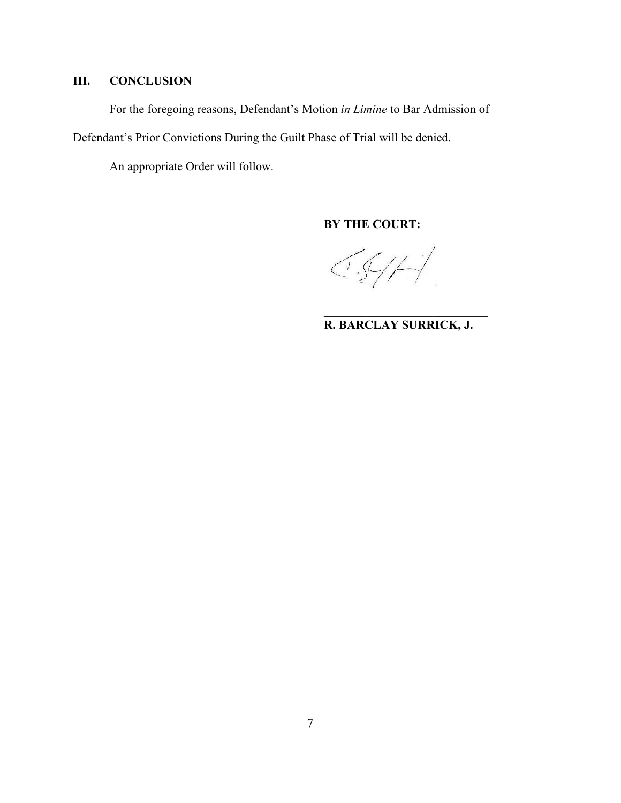# **III. CONCLUSION**

For the foregoing reasons, Defendant's Motion *in Limine* to Bar Admission of

Defendant's Prior Convictions During the Guilt Phase of Trial will be denied.

An appropriate Order will follow.

**BY THE COURT:**

 $\bigcirc \mathcal{A} \neq \bigcirc$ 

**\_\_\_\_\_\_\_\_\_\_\_\_\_\_\_\_\_\_\_\_\_\_\_\_\_\_\_ R. BARCLAY SURRICK, J.**